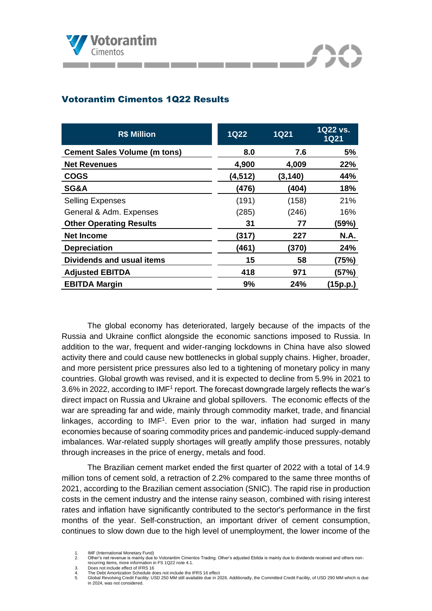

# Votorantim Cimentos 1Q22 Results

| <b>R\$ Million</b>                  | <b>1Q22</b> | <b>1Q21</b> | 1Q22 vs.<br><b>1Q21</b> |
|-------------------------------------|-------------|-------------|-------------------------|
| <b>Cement Sales Volume (m tons)</b> | 8.0         | 7.6         | 5%                      |
| <b>Net Revenues</b>                 | 4,900       | 4,009       | 22%                     |
| <b>COGS</b>                         | (4, 512)    | (3, 140)    | 44%                     |
| <b>SG&amp;A</b>                     | (476)       | (404)       | 18%                     |
| <b>Selling Expenses</b>             | (191)       | (158)       | 21%                     |
| General & Adm. Expenses             | (285)       | (246)       | 16%                     |
| <b>Other Operating Results</b>      | 31          | 77          | (59%)                   |
| <b>Net Income</b>                   | (317)       | 227         | <b>N.A.</b>             |
| <b>Depreciation</b>                 | (461)       | (370)       | 24%                     |
| Dividends and usual items           | 15          | 58          | (75%)                   |
| <b>Adjusted EBITDA</b>              | 418         | 971         | (57%)                   |
| <b>EBITDA Margin</b>                | 9%          | 24%         | (15p.p.)                |

The global economy has deteriorated, largely because of the impacts of the Russia and Ukraine conflict alongside the economic sanctions imposed to Russia. In addition to the war, frequent and wider-ranging lockdowns in China have also slowed activity there and could cause new bottlenecks in global supply chains. Higher, broader, and more persistent price pressures also led to a tightening of monetary policy in many countries. Global growth was revised, and it is expected to decline from 5.9% in 2021 to 3.6% in 2022, according to IMF<sup>1</sup> report. The forecast downgrade largely reflects the war's direct impact on Russia and Ukraine and global spillovers. The economic effects of the war are spreading far and wide, mainly through commodity market, trade, and financial linkages, according to  $IMF<sup>1</sup>$ . Even prior to the war, inflation had surged in many economies because of soaring commodity prices and pandemic-induced supply-demand imbalances. War-related supply shortages will greatly amplify those pressures, notably through increases in the price of energy, metals and food.

The Brazilian cement market ended the first quarter of 2022 with a total of 14.9 million tons of cement sold, a retraction of 2.2% compared to the same three months of 2021, according to the Brazilian cement association (SNIC). The rapid rise in production costs in the cement industry and the intense rainy season, combined with rising interest rates and inflation have significantly contributed to the sector's performance in the first months of the year. Self-construction, an important driver of cement consumption, continues to slow down due to the high level of unemployment, the lower income of the

<sup>1.</sup> **IMF (International Monetary Fund)**<br>2 Other's net revenue is mainly due

<sup>2.</sup> Other's net revenue is mainly due to Votorantim Cimentos Trading. Other's adjusted Ebitda is mainly due to dividends received and others nonrecurring items, more information in FS 1Q22 note 4.1.

<sup>3.</sup> Does not include effect of IFRS 16

<sup>4.</sup> The Debt Amortization Schedule does not include the IFRS 16 effect<br>5. Global Revolving Credit Facility: USD 250 MM still available due in 2

<sup>5.</sup> Global Revolving Credit Facility: USD 250 MM still available due in 2026. Additionally, the Committed Credit Facility, of USD 290 MM which is due in 2024, was not considered.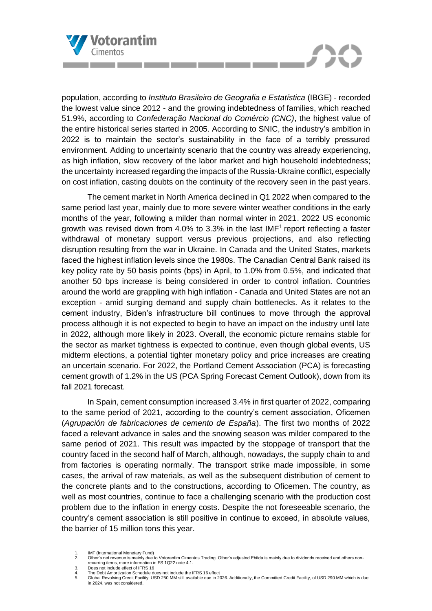

population, according to *Instituto Brasileiro de Geografia e Estatística* (IBGE) - recorded the lowest value since 2012 - and the growing indebtedness of families, which reached 51.9%, according to *Confederação Nacional do Comércio (CNC)*, the highest value of the entire historical series started in 2005. According to SNIC, the industry's ambition in 2022 is to maintain the sector's sustainability in the face of a terribly pressured environment. Adding to uncertainty scenario that the country was already experiencing, as high inflation, slow recovery of the labor market and high household indebtedness; the uncertainty increased regarding the impacts of the Russia-Ukraine conflict, especially on cost inflation, casting doubts on the continuity of the recovery seen in the past years.

The cement market in North America declined in Q1 2022 when compared to the same period last year, mainly due to more severe winter weather conditions in the early months of the year, following a milder than normal winter in 2021. 2022 US economic growth was revised down from 4.0% to 3.3% in the last IMF<sup>1</sup> report reflecting a faster withdrawal of monetary support versus previous projections, and also reflecting disruption resulting from the war in Ukraine. In Canada and the United States, markets faced the highest inflation levels since the 1980s. The Canadian Central Bank raised its key policy rate by 50 basis points (bps) in April, to 1.0% from 0.5%, and indicated that another 50 bps increase is being considered in order to control inflation. Countries around the world are grappling with high inflation - Canada and United States are not an exception - amid surging demand and supply chain bottlenecks. As it relates to the cement industry, Biden's infrastructure bill continues to move through the approval process although it is not expected to begin to have an impact on the industry until late in 2022, although more likely in 2023. Overall, the economic picture remains stable for the sector as market tightness is expected to continue, even though global events, US midterm elections, a potential tighter monetary policy and price increases are creating an uncertain scenario. For 2022, the Portland Cement Association (PCA) is forecasting cement growth of 1.2% in the US (PCA Spring Forecast Cement Outlook), down from its fall 2021 forecast.

In Spain, cement consumption increased 3.4% in first quarter of 2022, comparing to the same period of 2021, according to the country's cement association, Oficemen (*Agrupación de fabricaciones de cemento de España*). The first two months of 2022 faced a relevant advance in sales and the snowing season was milder compared to the same period of 2021. This result was impacted by the stoppage of transport that the country faced in the second half of March, although, nowadays, the supply chain to and from factories is operating normally. The transport strike made impossible, in some cases, the arrival of raw materials, as well as the subsequent distribution of cement to the concrete plants and to the constructions, according to Oficemen. The country, as well as most countries, continue to face a challenging scenario with the production cost problem due to the inflation in energy costs. Despite the not foreseeable scenario, the country's cement association is still positive in continue to exceed, in absolute values, the barrier of 15 million tons this year.

<sup>1.</sup> **IMF (International Monetary Fund)**<br>2 Other's net revenue is mainly due

<sup>2.</sup> Other's net revenue is mainly due to Votorantim Cimentos Trading. Other's adjusted Ebitda is mainly due to dividends received and others nonrecurring items, more information in FS 1Q22 note 4.1. 3. Does not include effect of IFRS 16

<sup>4.</sup> Does not include effect of IFRS 16<br>4. The Debt Amortization Schedule does not include the IFRS 16 effect<br>5. Global Revolving Credit Facility: USD 250 MM still available due in 2

<sup>5.</sup> Global Revolving Credit Facility: USD 250 MM still available due in 2026. Additionally, the Committed Credit Facility, of USD 290 MM which is due in 2024, was not considered.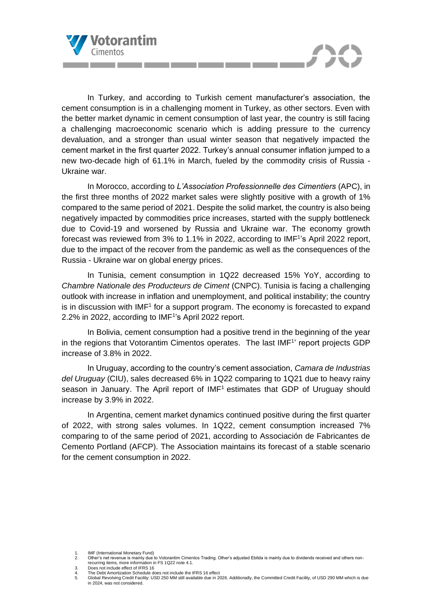

In Turkey, and according to Turkish cement manufacturer's association, the cement consumption is in a challenging moment in Turkey, as other sectors. Even with the better market dynamic in cement consumption of last year, the country is still facing a challenging macroeconomic scenario which is adding pressure to the currency devaluation, and a stronger than usual winter season that negatively impacted the cement market in the first quarter 2022. Turkey's annual consumer inflation jumped to a new two-decade high of 61.1% in March, fueled by the commodity crisis of Russia - Ukraine war.

In Morocco, according to *L'Association Professionnelle des Cimentiers* (APC), in the first three months of 2022 market sales were slightly positive with a growth of 1% compared to the same period of 2021. Despite the solid market, the country is also being negatively impacted by commodities price increases, started with the supply bottleneck due to Covid-19 and worsened by Russia and Ukraine war. The economy growth forecast was reviewed from 3% to 1.1% in 2022, according to IMF<sup>1</sup>'s April 2022 report, due to the impact of the recover from the pandemic as well as the consequences of the Russia - Ukraine war on global energy prices.

In Tunisia, cement consumption in 1Q22 decreased 15% YoY, according to *Chambre Nationale des Producteurs de Ciment* (CNPC). Tunisia is facing a challenging outlook with increase in inflation and unemployment, and political instability; the country is in discussion with  $IMF<sup>1</sup>$  for a support program. The economy is forecasted to expand 2.2% in 2022, according to IMF<sup>1</sup>'s April 2022 report.

In Bolivia, cement consumption had a positive trend in the beginning of the year in the regions that Votorantim Cimentos operates. The last IMF<sup>1</sup> report projects GDP increase of 3.8% in 2022.

In Uruguay, according to the country's cement association, *Camara de Industrias del Uruguay* (CIU), sales decreased 6% in 1Q22 comparing to 1Q21 due to heavy rainy season in January. The April report of  $IMF<sup>1</sup>$  estimates that GDP of Uruguay should increase by 3.9% in 2022.

In Argentina, cement market dynamics continued positive during the first quarter of 2022, with strong sales volumes. In 1Q22, cement consumption increased 7% comparing to of the same period of 2021, according to Associación de Fabricantes de Cemento Portland (AFCP). The Association maintains its forecast of a stable scenario for the cement consumption in 2022.

1. **IMF (International Monetary Fund)**<br>2 Other's net revenue is mainly due to

recurring items, more information in FS 1Q22 note 4.1. 3. Does not include effect of IFRS 16

<sup>2.</sup> Other's net revenue is mainly due to Votorantim Cimentos Trading. Other's adjusted Ebitda is mainly due to dividends received and others non-

<sup>4.</sup> The Debt Amortization Schedule does not include the IFRS 16 effect<br>5. Global Revolving Credit Facility: USD 250 MM still available due in 2

<sup>5.</sup> Global Revolving Credit Facility: USD 250 MM still available due in 2026. Additionally, the Committed Credit Facility, of USD 290 MM which is due in 2024, was not considered.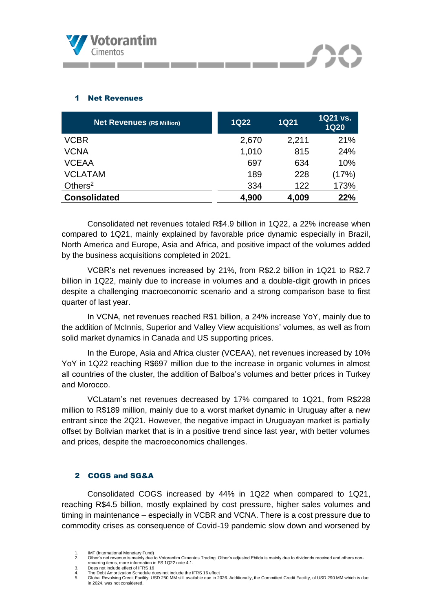

## 1 Net Revenues

| <b>Net Revenues (R\$ Million)</b> | <b>1Q22</b> | <b>1Q21</b> | 1Q21 vs.<br><b>1Q20</b> |
|-----------------------------------|-------------|-------------|-------------------------|
| <b>VCBR</b>                       | 2,670       | 2,211       | 21%                     |
| <b>VCNA</b>                       | 1,010       | 815         | 24%                     |
| <b>VCEAA</b>                      | 697         | 634         | 10%                     |
| <b>VCLATAM</b>                    | 189         | 228         | (17%)                   |
| Others $2$                        | 334         | 122         | 173%                    |
| <b>Consolidated</b>               | 4,900       | 4,009       | 22%                     |

and the company of the

Consolidated net revenues totaled R\$4.9 billion in 1Q22, a 22% increase when compared to 1Q21, mainly explained by favorable price dynamic especially in Brazil, North America and Europe, Asia and Africa, and positive impact of the volumes added by the business acquisitions completed in 2021.

VCBR's net revenues increased by 21%, from R\$2.2 billion in 1Q21 to R\$2.7 billion in 1Q22, mainly due to increase in volumes and a double-digit growth in prices despite a challenging macroeconomic scenario and a strong comparison base to first quarter of last year.

In VCNA, net revenues reached R\$1 billion, a 24% increase YoY, mainly due to the addition of McInnis, Superior and Valley View acquisitions' volumes, as well as from solid market dynamics in Canada and US supporting prices.

In the Europe, Asia and Africa cluster (VCEAA), net revenues increased by 10% YoY in 1Q22 reaching R\$697 million due to the increase in organic volumes in almost all countries of the cluster, the addition of Balboa's volumes and better prices in Turkey and Morocco.

VCLatam's net revenues decreased by 17% compared to 1Q21, from R\$228 million to R\$189 million, mainly due to a worst market dynamic in Uruguay after a new entrant since the 2Q21. However, the negative impact in Uruguayan market is partially offset by Bolivian market that is in a positive trend since last year, with better volumes and prices, despite the macroeconomics challenges.

### 2 COGS and SG&A

Consolidated COGS increased by 44% in 1Q22 when compared to 1Q21, reaching R\$4.5 billion, mostly explained by cost pressure, higher sales volumes and timing in maintenance – especially in VCBR and VCNA. There is a cost pressure due to commodity crises as consequence of Covid-19 pandemic slow down and worsened by

<sup>1.</sup> **IMF (International Monetary Fund)**<br>2 Other's net revenue is mainly due to

<sup>2.</sup> Other's net revenue is mainly due to Votorantim Cimentos Trading. Other's adjusted Ebitda is mainly due to dividends received and others nonrecurring items, more information in FS 1Q22 note 4.1. 3. Does not include effect of IFRS 16

<sup>4.</sup> The Debt Amortization Schedule does not include the IFRS 16 effect<br>5. Global Revolving Credit Facility: USD 250 MM still available due in 2 5. Global Revolving Credit Facility: USD 250 MM still available due in 2026. Additionally, the Committed Credit Facility, of USD 290 MM which is due in 2024, was not considered.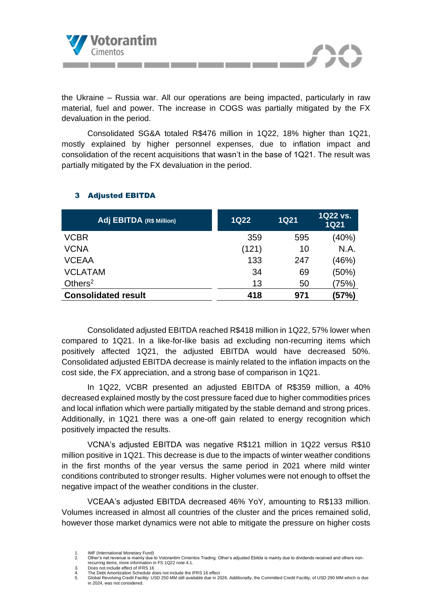

the Ukraine – Russia war. All our operations are being impacted, particularly in raw material, fuel and power. The increase in COGS was partially mitigated by the FX devaluation in the period.

Consolidated SG&A totaled R\$476 million in 1Q22, 18% higher than 1Q21, mostly explained by higher personnel expenses, due to inflation impact and consolidation of the recent acquisitions that wasn't in the base of 1Q21. The result was partially mitigated by the FX devaluation in the period.

| Adj EBITDA (R\$ Million)   | <b>1Q22</b> | <b>1Q21</b> | 1Q22 vs.<br><b>1Q21</b> |
|----------------------------|-------------|-------------|-------------------------|
| <b>VCBR</b>                | 359         | 595         | (40%)                   |
| <b>VCNA</b>                | (121)       | 10          | N.A.                    |
| <b>VCEAA</b>               | 133         | 247         | (46%)                   |
| <b>VCLATAM</b>             | 34          | 69          | (50%)                   |
| Others $2$                 | 13          | 50          | (75%)                   |
| <b>Consolidated result</b> | 418         | 971         | (57%)                   |

# 3 Adjusted EBITDA

Consolidated adjusted EBITDA reached R\$418 million in 1Q22, 57% lower when compared to 1Q21. In a like-for-like basis ad excluding non-recurring items which positively affected 1Q21, the adjusted EBITDA would have decreased 50%. Consolidated adjusted EBITDA decrease is mainly related to the inflation impacts on the cost side, the FX appreciation, and a strong base of comparison in 1Q21.

In 1Q22, VCBR presented an adjusted EBITDA of R\$359 million, a 40% decreased explained mostly by the cost pressure faced due to higher commodities prices and local inflation which were partially mitigated by the stable demand and strong prices. Additionally, in 1Q21 there was a one-off gain related to energy recognition which positively impacted the results.

VCNA's adjusted EBITDA was negative R\$121 million in 1Q22 versus R\$10 million positive in 1Q21. This decrease is due to the impacts of winter weather conditions in the first months of the year versus the same period in 2021 where mild winter conditions contributed to stronger results. Higher volumes were not enough to offset the negative impact of the weather conditions in the cluster.

VCEAA's adjusted EBITDA decreased 46% YoY, amounting to R\$133 million. Volumes increased in almost all countries of the cluster and the prices remained solid, however those market dynamics were not able to mitigate the pressure on higher costs

<sup>1.</sup> **IMF (International Monetary Fund)**<br>2 Other's net revenue is mainly due to

<sup>2.</sup> Other's net revenue is mainly due to Votorantim Cimentos Trading. Other's adjusted Ebitda is mainly due to dividends received and others nonrecurring items, more information in FS 1Q22 note 4.1. 3. Does not include effect of IFRS 16

<sup>4.</sup> The Debt Amortization Schedule does not include the IFRS 16 effect<br>5. Global Revolving Credit Facility: USD 250 MM still available due in 2

<sup>5.</sup> Global Revolving Credit Facility: USD 250 MM still available due in 2026. Additionally, the Committed Credit Facility, of USD 290 MM which is due in 2024, was not considered.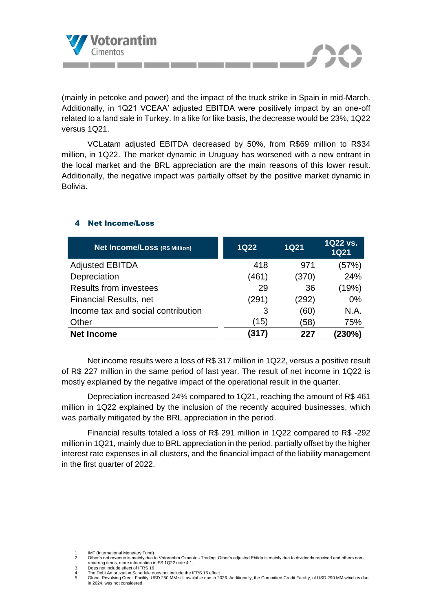

(mainly in petcoke and power) and the impact of the truck strike in Spain in mid-March. Additionally, in 1Q21 VCEAA' adjusted EBITDA were positively impact by an one-off related to a land sale in Turkey. In a like for like basis, the decrease would be 23%, 1Q22 versus 1Q21.

VCLatam adjusted EBITDA decreased by 50%, from R\$69 million to R\$34 million, in 1Q22. The market dynamic in Uruguay has worsened with a new entrant in the local market and the BRL appreciation are the main reasons of this lower result. Additionally, the negative impact was partially offset by the positive market dynamic in Bolivia.

| <b>Net Income/Loss (R\$ Million)</b> | <b>1Q22</b> | <b>1Q21</b> | 1Q22 vs.<br><b>1Q21</b> |
|--------------------------------------|-------------|-------------|-------------------------|
| <b>Adjusted EBITDA</b>               | 418         | 971         | (57%)                   |
| Depreciation                         | (461)       | (370)       | 24%                     |
| <b>Results from investees</b>        | 29          | 36          | (19%)                   |
| <b>Financial Results, net</b>        | (291)       | (292)       | 0%                      |
| Income tax and social contribution   | 3           | (60)        | N.A.                    |
| Other                                | (15)        | (58)        | 75%                     |
| <b>Net Income</b>                    | (317)       | 227         | (230%)                  |

# 4 Net Income/Loss

Net income results were a loss of R\$ 317 million in 1Q22, versus a positive result of R\$ 227 million in the same period of last year. The result of net income in 1Q22 is mostly explained by the negative impact of the operational result in the quarter.

Depreciation increased 24% compared to 1Q21, reaching the amount of R\$ 461 million in 1Q22 explained by the inclusion of the recently acquired businesses, which was partially mitigated by the BRL appreciation in the period.

Financial results totaled a loss of R\$ 291 million in 1Q22 compared to R\$ -292 million in 1Q21, mainly due to BRL appreciation in the period, partially offset by the higher interest rate expenses in all clusters, and the financial impact of the liability management in the first quarter of 2022.

- 
- 4. Does not include effect of IFRS 16<br>4. The Debt Amortization Schedule does not include the IFRS 16 effect<br>5. Global Revolving Credit Facility: USD 250 MM still available due in 2

<sup>2.</sup> Other's net revenue is mainly due to Votorantim Cimentos Trading. Other's adjusted Ebitda is mainly due to dividends received and others nonrecurring items, more information in FS 1Q22 note 4.1. 3. Does not include effect of IFRS 16

<sup>5.</sup> Global Revolving Credit Facility: USD 250 MM still available due in 2026. Additionally, the Committed Credit Facility, of USD 290 MM which is due in 2024, was not considered.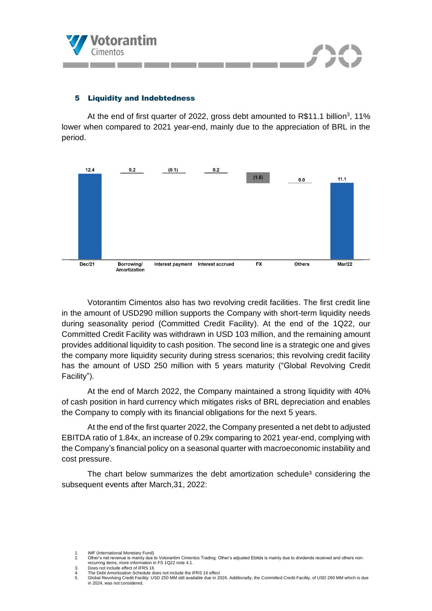

## 5 Liquidity and Indebtedness

At the end of first quarter of 2022, gross debt amounted to  $R$11.1 billion<sup>3</sup>, 11%$ lower when compared to 2021 year-end, mainly due to the appreciation of BRL in the period.



Votorantim Cimentos also has two revolving credit facilities. The first credit line in the amount of USD290 million supports the Company with short-term liquidity needs during seasonality period (Committed Credit Facility). At the end of the 1Q22, our Committed Credit Facility was withdrawn in USD 103 million, and the remaining amount provides additional liquidity to cash position. The second line is a strategic one and gives the company more liquidity security during stress scenarios; this revolving credit facility has the amount of USD 250 million with 5 years maturity ("Global Revolving Credit Facility").

At the end of March 2022, the Company maintained a strong liquidity with 40% of cash position in hard currency which mitigates risks of BRL depreciation and enables the Company to comply with its financial obligations for the next 5 years.

At the end of the first quarter 2022, the Company presented a net debt to adjusted EBITDA ratio of 1.84x, an increase of 0.29x comparing to 2021 year-end, complying with the Company's financial policy on a seasonal quarter with macroeconomic instability and cost pressure.

The chart below summarizes the debt amortization schedule<sup>3</sup> considering the subsequent events after March,31, 2022:

<sup>2.</sup> Other's net revenue is mainly due to Votorantim Cimentos Trading. Other's adjusted Ebitda is mainly due to dividends received and others nonrecurring items, more information in FS 1Q22 note 4.1. 3. Does not include effect of IFRS 16

<sup>4.</sup> Does not include effect of IFRS 16<br>4. The Debt Amortization Schedule does not include the IFRS 16 effect<br>5. Global Revolving Credit Facility: USD 250 MM still available due in 2 5. Global Revolving Credit Facility: USD 250 MM still available due in 2026. Additionally, the Committed Credit Facility, of USD 290 MM which is due in 2024, was not considered.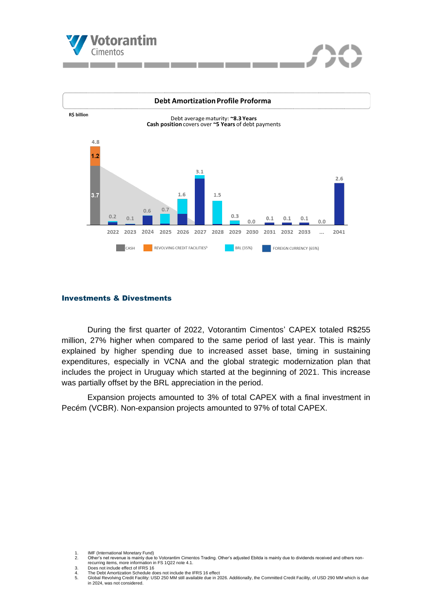



#### Investments & Divestments

During the first quarter of 2022, Votorantim Cimentos' CAPEX totaled R\$255 million, 27% higher when compared to the same period of last year. This is mainly explained by higher spending due to increased asset base, timing in sustaining expenditures, especially in VCNA and the global strategic modernization plan that includes the project in Uruguay which started at the beginning of 2021. This increase was partially offset by the BRL appreciation in the period.

Expansion projects amounted to 3% of total CAPEX with a final investment in Pecém (VCBR). Non-expansion projects amounted to 97% of total CAPEX.

<sup>2.</sup> Other's net revenue is mainly due to Votorantim Cimentos Trading. Other's adjusted Ebitda is mainly due to dividends received and others nonrecurring items, more information in FS 1Q22 note 4.1. 3. Does not include effect of IFRS 16

<sup>4.</sup> The Debt Amortization Schedule does not include the IFRS 16<br>4. The Debt Amortization Schedule does not include the IFRS 16 effect<br>5. Global Revolving Credit Facility: USD 250 MM still available due in 2

<sup>5.</sup> Global Revolving Credit Facility: USD 250 MM still available due in 2026. Additionally, the Committed Credit Facility, of USD 290 MM which is due in 2024, was not considered.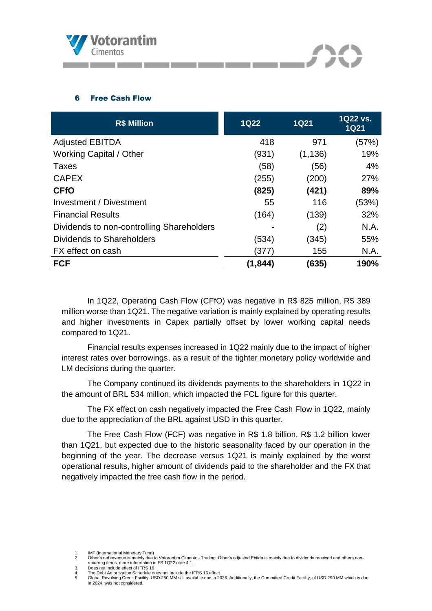

an an

## 6 Free Cash Flow

| <b>R\$ Million</b>                        | <b>1Q22</b> | 1Q <sub>21</sub> | 1Q22 vs.<br><b>1Q21</b> |
|-------------------------------------------|-------------|------------------|-------------------------|
| <b>Adjusted EBITDA</b>                    | 418         | 971              | (57%)                   |
| <b>Working Capital / Other</b>            | (931)       | (1, 136)         | 19%                     |
| <b>Taxes</b>                              | (58)        | (56)             | 4%                      |
| <b>CAPEX</b>                              | (255)       | (200)            | 27%                     |
| <b>CFfO</b>                               | (825)       | (421)            | 89%                     |
| Investment / Divestment                   | 55          | 116              | (53%)                   |
| <b>Financial Results</b>                  | (164)       | (139)            | 32%                     |
| Dividends to non-controlling Shareholders |             | (2)              | N.A.                    |
| Dividends to Shareholders                 | (534)       | (345)            | 55%                     |
| FX effect on cash                         | (377)       | 155              | N.A.                    |
| <b>FCF</b>                                | (1, 844)    | (635)            | 190%                    |

In 1Q22, Operating Cash Flow (CFfO) was negative in R\$ 825 million, R\$ 389 million worse than 1Q21. The negative variation is mainly explained by operating results and higher investments in Capex partially offset by lower working capital needs compared to 1Q21.

Financial results expenses increased in 1Q22 mainly due to the impact of higher interest rates over borrowings, as a result of the tighter monetary policy worldwide and LM decisions during the quarter.

The Company continued its dividends payments to the shareholders in 1Q22 in the amount of BRL 534 million, which impacted the FCL figure for this quarter.

The FX effect on cash negatively impacted the Free Cash Flow in 1Q22, mainly due to the appreciation of the BRL against USD in this quarter.

The Free Cash Flow (FCF) was negative in R\$ 1.8 billion, R\$ 1.2 billion lower than 1Q21, but expected due to the historic seasonality faced by our operation in the beginning of the year. The decrease versus 1Q21 is mainly explained by the worst operational results, higher amount of dividends paid to the shareholder and the FX that negatively impacted the free cash flow in the period.

- recurring items, more information in FS 1Q22 note 4.1. 3. Does not include effect of IFRS 16
- 4. Does not include effect of IFRS 16<br>4. The Debt Amortization Schedule does not include the IFRS 16 effect<br>5. Global Revolving Credit Facility: USD 250 MM still available due in 2

<sup>2.</sup> Other's net revenue is mainly due to Votorantim Cimentos Trading. Other's adjusted Ebitda is mainly due to dividends received and others non-

<sup>5.</sup> Global Revolving Credit Facility: USD 250 MM still available due in 2026. Additionally, the Committed Credit Facility, of USD 290 MM which is due in 2024, was not considered.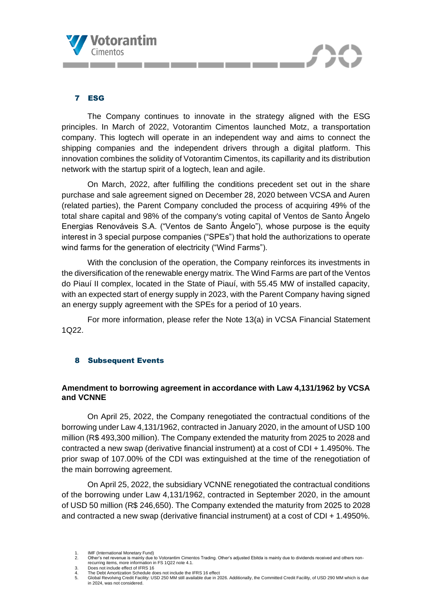

## 7 ESG

The Company continues to innovate in the strategy aligned with the ESG principles. In March of 2022, Votorantim Cimentos launched Motz, a transportation company. This logtech will operate in an independent way and aims to connect the shipping companies and the independent drivers through a digital platform. This innovation combines the solidity of Votorantim Cimentos, its capillarity and its distribution network with the startup spirit of a logtech, lean and agile.

On March, 2022, after fulfilling the conditions precedent set out in the share purchase and sale agreement signed on December 28, 2020 between VCSA and Auren (related parties), the Parent Company concluded the process of acquiring 49% of the total share capital and 98% of the company's voting capital of Ventos de Santo Ângelo Energias Renováveis S.A. ("Ventos de Santo Ângelo"), whose purpose is the equity interest in 3 special purpose companies ("SPEs") that hold the authorizations to operate wind farms for the generation of electricity ("Wind Farms").

With the conclusion of the operation, the Company reinforces its investments in the diversification of the renewable energy matrix. The Wind Farms are part of the Ventos do Piauí II complex, located in the State of Piauí, with 55.45 MW of installed capacity, with an expected start of energy supply in 2023, with the Parent Company having signed an energy supply agreement with the SPEs for a period of 10 years.

For more information, please refer the Note 13(a) in VCSA Financial Statement 1Q22.

### 8 Subsequent Events

## **Amendment to borrowing agreement in accordance with Law 4,131/1962 by VCSA and VCNNE**

On April 25, 2022, the Company renegotiated the contractual conditions of the borrowing under Law 4,131/1962, contracted in January 2020, in the amount of USD 100 million (R\$ 493,300 million). The Company extended the maturity from 2025 to 2028 and contracted a new swap (derivative financial instrument) at a cost of CDI + 1.4950%. The prior swap of 107.00% of the CDI was extinguished at the time of the renegotiation of the main borrowing agreement.

On April 25, 2022, the subsidiary VCNNE renegotiated the contractual conditions of the borrowing under Law 4,131/1962, contracted in September 2020, in the amount of USD 50 million (R\$ 246,650). The Company extended the maturity from 2025 to 2028 and contracted a new swap (derivative financial instrument) at a cost of CDI + 1.4950%.

<sup>1.</sup> **IMF (International Monetary Fund)**<br>2 Other's net revenue is mainly due

<sup>2.</sup> Other's net revenue is mainly due to Votorantim Cimentos Trading. Other's adjusted Ebitda is mainly due to dividends received and others nonrecurring items, more information in FS 1Q22 note 4.1. 3. Does not include effect of IFRS 16

<sup>4.</sup> The Debt Amortization Schedule does not include the IFRS 16 effect<br>5. Global Revolving Credit Facility: USD 250 MM still available due in 2 5. Global Revolving Credit Facility: USD 250 MM still available due in 2026. Additionally, the Committed Credit Facility, of USD 290 MM which is due in 2024, was not considered.